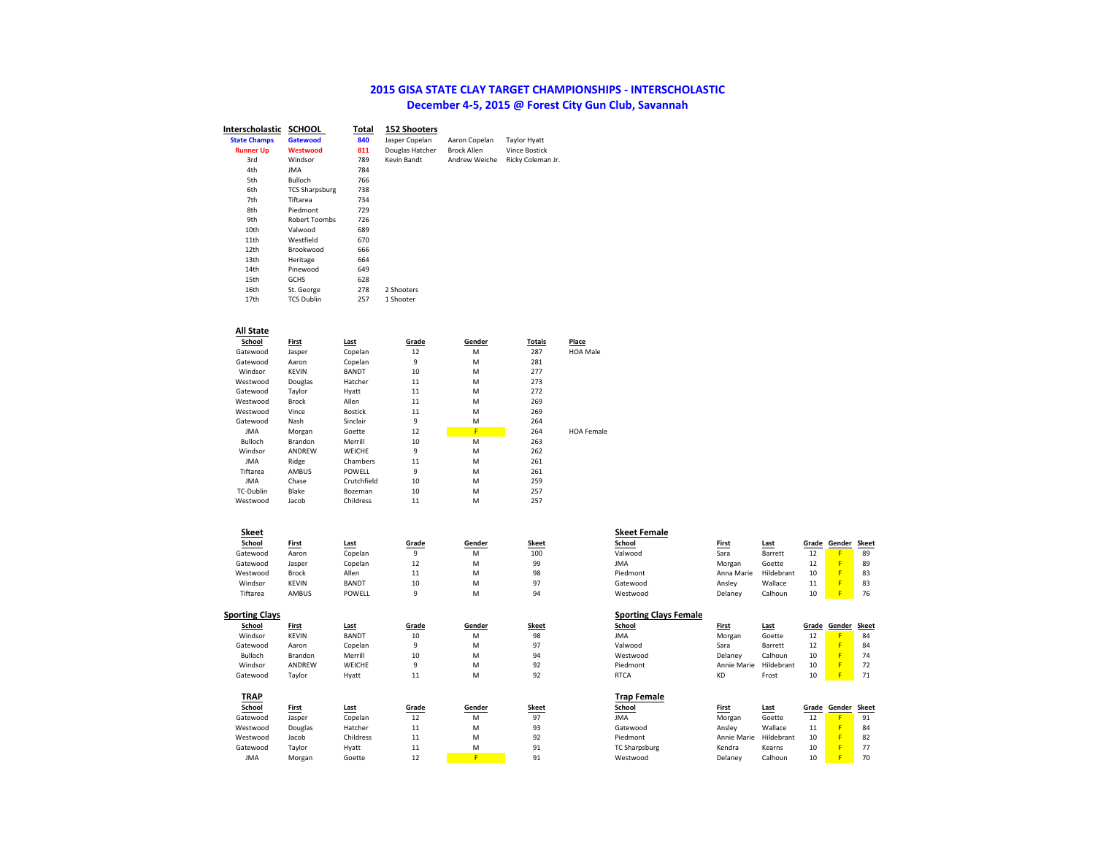## **2015 GISA STATE CLAY TARGET CHAMPIONSHIPS - INTERSCHOLASTIC December 4-5, 2015 @ Forest City Gun Club, Savannah**

| Interscholastic     | <b>SCHOOL</b>         | Total | <b>152 Shooters</b> |                    |                      |
|---------------------|-----------------------|-------|---------------------|--------------------|----------------------|
| <b>State Champs</b> | Gatewood              | 840   | Jasper Copelan      | Aaron Copelan      | <b>Taylor Hyatt</b>  |
| <b>Runner Up</b>    | Westwood              | 811   | Douglas Hatcher     | <b>Brock Allen</b> | <b>Vince Bostick</b> |
| 3rd                 | Windsor               | 789   | Kevin Bandt         | Andrew Weiche      | Ricky Coleman Jr.    |
| 4th                 | <b>JMA</b>            | 784   |                     |                    |                      |
| 5th                 | Bulloch               | 766   |                     |                    |                      |
| 6th                 | <b>TCS Sharpsburg</b> | 738   |                     |                    |                      |
| 7th                 | Tiftarea              | 734   |                     |                    |                      |
| 8th                 | Piedmont              | 729   |                     |                    |                      |
| 9th                 | Robert Toombs         | 726   |                     |                    |                      |
| 10th                | Valwood               | 689   |                     |                    |                      |
| 11th                | Westfield             | 670   |                     |                    |                      |
| 12th                | Brookwood             | 666   |                     |                    |                      |
| 13th                | Heritage              | 664   |                     |                    |                      |
| 14th                | Pinewood              | 649   |                     |                    |                      |
| 15th                | <b>GCHS</b>           | 628   |                     |                    |                      |
| 16th                | St. George            | 278   | 2 Shooters          |                    |                      |
| 17th                | <b>TCS Dublin</b>     | 257   | 1 Shooter           |                    |                      |
|                     |                       |       |                     |                    |                      |

### **All State**

| School         | First        | Last           | Grade | Gender | Totals | Place             |
|----------------|--------------|----------------|-------|--------|--------|-------------------|
| Gatewood       | Jasper       | Copelan        | 12    | M      | 287    | <b>HOA Male</b>   |
| Gatewood       | Aaron        | Copelan        | 9     | M      | 281    |                   |
| Windsor        | <b>KEVIN</b> | <b>BANDT</b>   | 10    | M      | 277    |                   |
| Westwood       | Douglas      | Hatcher        | 11    | M      | 273    |                   |
| Gatewood       | Taylor       | Hyatt          | 11    | M      | 272    |                   |
| Westwood       | Brock        | Allen          | 11    | M      | 269    |                   |
| Westwood       | Vince        | <b>Bostick</b> | 11    | M      | 269    |                   |
| Gatewood       | Nash         | Sinclair       | 9     | M      | 264    |                   |
| <b>JMA</b>     | Morgan       | Goette         | 12    | F      | 264    | <b>HOA Female</b> |
| <b>Bulloch</b> | Brandon      | Merrill        | 10    | M      | 263    |                   |
| Windsor        | ANDREW       | WEICHE         | 9     | M      | 262    |                   |
| <b>JMA</b>     | Ridge        | Chambers       | 11    | M      | 261    |                   |
| Tiftarea       | AMBUS        | POWELL         | 9     | M      | 261    |                   |
| <b>JMA</b>     | Chase        | Crutchfield    | 10    | M      | 259    |                   |
| TC-Dublin      | Blake        | Bozeman        | 10    | M      | 257    |                   |
| Westwood       | Jacob        | Childress      | 11    | M      | 257    |                   |

| School                | First        | Last         | Grade | Gender | Skeet | School                       | First        | Last       | Grade | Gender | <b>Skeet</b> |
|-----------------------|--------------|--------------|-------|--------|-------|------------------------------|--------------|------------|-------|--------|--------------|
| Gatewood              | Aaron        | Copelan      | 9     | M      | 100   | Valwood                      | Sara         | Barrett    | 12    |        | 89           |
| Gatewood              | Jasper       | Copelan      | 12    | М      | 99    | <b>JMA</b>                   | Morgan       | Goette     | 12    | F      | 89           |
| Westwood              | <b>Brock</b> | Allen        | 11    | м      | 98    | Piedmont                     | Anna Marie   | Hildebrant | 10    | F      | 83           |
| Windsor               | <b>KEVIN</b> | <b>BANDT</b> | 10    | м      | 97    | Gatewood                     | Ansley       | Wallace    | 11    | F      | 83           |
| Tiftarea              | <b>AMBUS</b> | POWELL       | 9     | м      | 94    | Westwood                     | Delanev      | Calhoun    | 10    |        | 76           |
| <b>Sporting Clays</b> |              |              |       |        |       | <b>Sporting Clays Female</b> |              |            |       |        |              |
| School                | First        | Last         | Grade | Gender | Skeet | School                       | First        | Last       | Grade | Gender | <b>Skeet</b> |
| Windsor               | <b>KEVIN</b> | <b>BANDT</b> | 10    | M      | 98    | <b>JMA</b>                   | Morgan       | Goette     | 12    |        | 84           |
| Gatewood              | Aaron        | Copelan      | 9     | м      | 97    | Valwood                      | Sara         | Barrett    | 12    | F      | 84           |
| Bulloch               | Brandon      | Merrill      | 10    | м      | 94    | Westwood                     | Delaney      | Calhoun    | 10    | F      | 74           |
| Windsor               | ANDREW       | WEICHE       | 9     | м      | 92    | Piedmont                     | Annie Marie  | Hildebrant | 10    | F      | 72           |
| Gatewood              | Taylor       | Hyatt        | 11    | м      | 92    | <b>RTCA</b>                  | <b>KD</b>    | Frost      | 10    |        | 71           |
| <b>TRAP</b>           |              |              |       |        |       | <b>Trap Female</b>           |              |            |       |        |              |
| School                | <b>First</b> | Last         | Grade | Gender | Skeet | School                       | <b>First</b> | Last       | Grade | Gender | <b>Skeet</b> |
| Gatewood              | Jasper       | Copelan      | 12    | M      | 97    | <b>JMA</b>                   | Morgan       | Goette     | 12    | F      | 91           |
| Westwood              | Douglas      | Hatcher      | 11    | м      | 93    | Gatewood                     | Ansley       | Wallace    | 11    | F      | 84           |
| Westwood              | Jacob        | Childress    | 11    | м      | 92    | Piedmont                     | Annie Marie  | Hildebrant | 10    | F      | 82           |
| Gatewood              | Taylor       | Hyatt        | 11    | м      | 91    | <b>TC Sharpsburg</b>         | Kendra       | Kearns     | 10    |        | 77           |
|                       |              |              |       |        |       |                              |              |            |       |        |              |

| Skeet          |              |              |              |        |              | <b>Skeet Female</b> |              |            |       |        |       |
|----------------|--------------|--------------|--------------|--------|--------------|---------------------|--------------|------------|-------|--------|-------|
| School         | <b>First</b> | <b>Last</b>  | <u>Grade</u> | Gender | <b>Skeet</b> | School              | <b>First</b> | Last       | Grade | Gender | Skeet |
| atewood        | Aaron        | Copelan      | 9            | M      | 100          | Valwood             | Sara         | Barrett    | 12    |        | 89    |
| atewood        | Jasper       | Copelan      | 12           | M      | 99           | <b>JMA</b>          | Morgan       | Goette     | ᅩ     |        | 89    |
| estwood        | <b>Brock</b> | Allen        | 11           | M      | 98           | Piedmont            | Anna Marie   | Hildebrant | 10    |        | 83    |
| <b>Nindsor</b> | <b>KEVIN</b> | <b>BANDT</b> | 10           | M      | 97           | Gatewood            | Ansley       | Wallace    | ᆂᆂ    |        | 83    |
| Tiftarea       | <b>AMBUS</b> | POWELL       | a            | M      | 94           | Westwood            | Delaney      | Calhoun    | 10    | . .    | 76    |
|                |              |              |              |        |              |                     |              |            |       |        |       |
|                |              |              |              |        |              |                     |              |            |       |        |       |

| ays Female |             |            |       |        |      |
|------------|-------------|------------|-------|--------|------|
|            | First       | Last       | Grade | Gender | Skee |
|            | Morgan      | Goette     | 12    |        | 84   |
|            | Sara        | Barrett    | 12    | F      | 84   |
|            | Delanev     | Calhoun    | 10    | F      | 74   |
|            | Annie Marie | Hildebrant | 10    | F      | 72   |
|            | KD          | Frost      | 10    | F      | 71   |
|            |             |            |       |        |      |

| chool      | First   | <u>Last</u> | Grade | Gender | Skeet          | School               | First       | Last       | Grade | Gender Skeet |    |
|------------|---------|-------------|-------|--------|----------------|----------------------|-------------|------------|-------|--------------|----|
| tewood     | Jasper  | Copelan     | ᅩ     | M      | Q <sub>7</sub> | <b>JMA</b>           | Morgan      | Goette     | --    |              | -  |
| stwood     | Douglas | Hatcher     | .     | M      | Q2             | Gatewood             | Anslev      | Wallace    |       |              | 84 |
| stwood     | Jacob   | Childress   | . .   | M      | 92             | Piedmont             | Annie Marie | Hildebrant | 10    |              | 82 |
| tewood     | Tavlor  | Hyatt       | . .   | M      | Q <sub>1</sub> | <b>TC Sharpsburg</b> | Kendra      | Kearns     |       |              |    |
| <b>JMA</b> | Morgan  | Goette      | --    |        | $^{\Omega}$ 1  | Westwood             | Delanev     | Calhoun    | 10    |              | 70 |